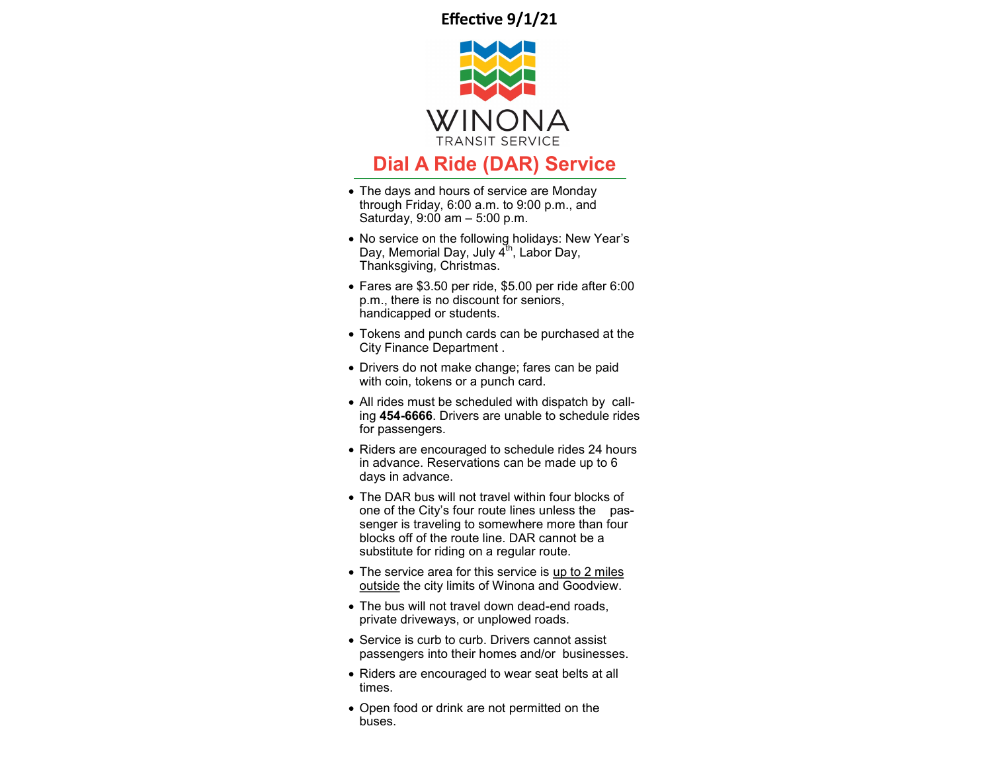**Effective 9/1/21**



## **Dial A Ride (DAR) Service**

- The days and hours of service are Monday through Friday, 6:00 a.m. to 9:00 p.m., and Saturday, 9:00 am – 5:00 p.m.
- No service on the following holidays: New Year's Day, Memorial Day, July  $4<sup>th</sup>$ , Labor Day, Thanksgiving, Christmas.
- Fares are \$3.50 per ride, \$5.00 per ride after 6:00 p.m., there is no discount for seniors, handicapped or students.
- Tokens and punch cards can be purchased at the City Finance Department .
- Drivers do not make change; fares can be paid with coin, tokens or a punch card.
- All rides must be scheduled with dispatch by calling **454-6666**. Drivers are unable to schedule rides for passengers.
- Riders are encouraged to schedule rides 24 hours in advance. Reservations can be made up to 6 days in advance.
- The DAR bus will not travel within four blocks of one of the City's four route lines unless the passenger is traveling to somewhere more than four blocks off of the route line. DAR cannot be a substitute for riding on a regular route.
- The service area for this service is up to 2 miles outside the city limits of Winona and Goodview.
- The bus will not travel down dead-end roads, private driveways, or unplowed roads.
- Service is curb to curb. Drivers cannot assist passengers into their homes and/or businesses.
- Riders are encouraged to wear seat belts at all times.
- Open food or drink are not permitted on the buses.